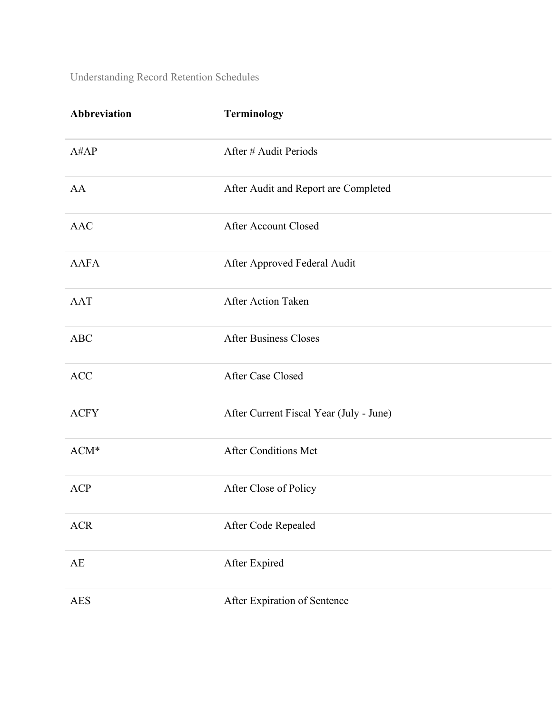| Abbreviation | Terminology                             |
|--------------|-----------------------------------------|
| A#AP         | After # Audit Periods                   |
| AA           | After Audit and Report are Completed    |
| <b>AAC</b>   | After Account Closed                    |
| <b>AAFA</b>  | After Approved Federal Audit            |
| <b>AAT</b>   | <b>After Action Taken</b>               |
| ABC          | <b>After Business Closes</b>            |
| <b>ACC</b>   | After Case Closed                       |
| <b>ACFY</b>  | After Current Fiscal Year (July - June) |
| $ACM*$       | <b>After Conditions Met</b>             |
| <b>ACP</b>   | After Close of Policy                   |
| <b>ACR</b>   | After Code Repealed                     |
| AE           | After Expired                           |
| <b>AES</b>   | After Expiration of Sentence            |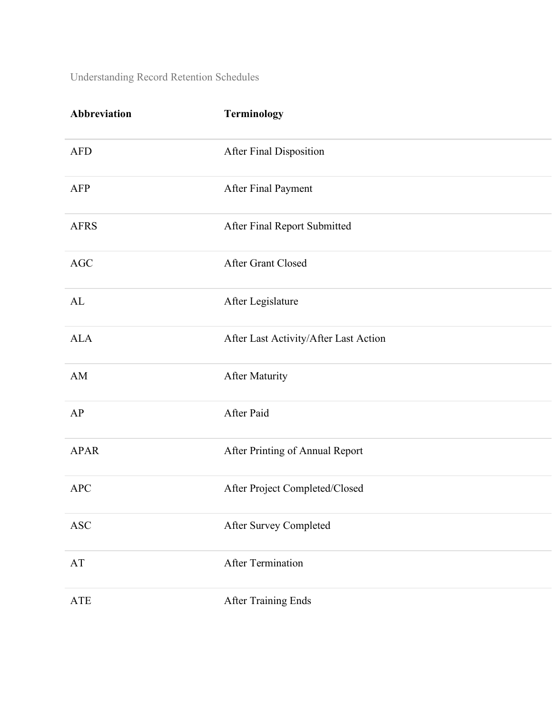| Abbreviation         | Terminology                           |
|----------------------|---------------------------------------|
| <b>AFD</b>           | After Final Disposition               |
| <b>AFP</b>           | After Final Payment                   |
| <b>AFRS</b>          | After Final Report Submitted          |
| AGC                  | After Grant Closed                    |
| AL                   | After Legislature                     |
| <b>ALA</b>           | After Last Activity/After Last Action |
| AM                   | <b>After Maturity</b>                 |
| AP                   | After Paid                            |
| <b>APAR</b>          | After Printing of Annual Report       |
| <b>APC</b>           | After Project Completed/Closed        |
| $\operatorname{ASC}$ | After Survey Completed                |
| AT                   | <b>After Termination</b>              |
| <b>ATE</b>           | After Training Ends                   |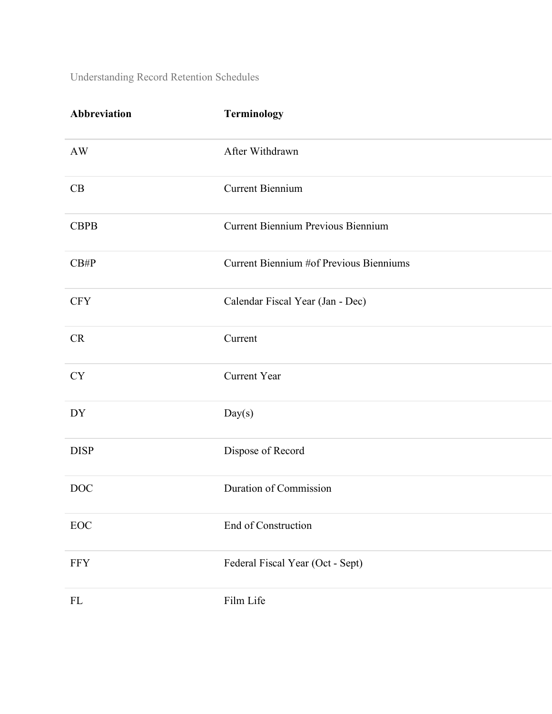| Abbreviation      | Terminology                               |
|-------------------|-------------------------------------------|
| <b>AW</b>         | After Withdrawn                           |
| CB                | <b>Current Biennium</b>                   |
| <b>CBPB</b>       | <b>Current Biennium Previous Biennium</b> |
| CB#P              | Current Biennium #of Previous Bienniums   |
| <b>CFY</b>        | Calendar Fiscal Year (Jan - Dec)          |
| CR                | Current                                   |
| <b>CY</b>         | <b>Current Year</b>                       |
| DY                | Day(s)                                    |
| <b>DISP</b>       | Dispose of Record                         |
| <b>DOC</b>        | Duration of Commission                    |
| $_{\mathrm{EOC}}$ | End of Construction                       |
| <b>FFY</b>        | Federal Fiscal Year (Oct - Sept)          |
| ${\rm FL}$        | Film Life                                 |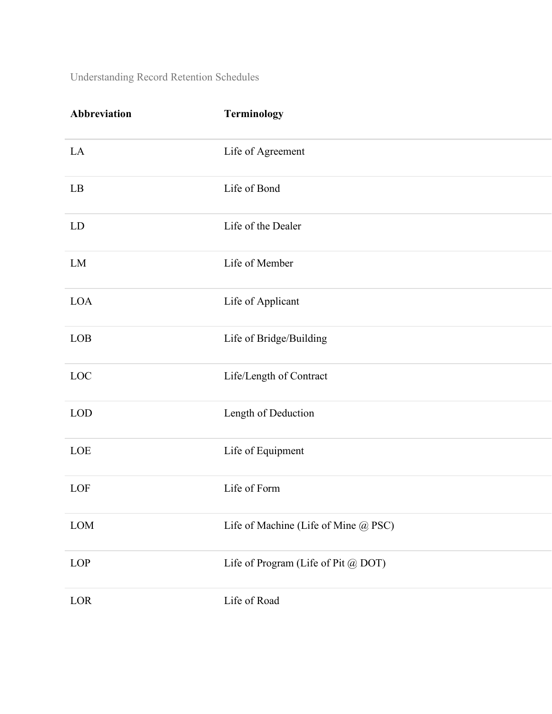| Abbreviation | Terminology                          |
|--------------|--------------------------------------|
| LA           | Life of Agreement                    |
| LB           | Life of Bond                         |
| LD           | Life of the Dealer                   |
| LM           | Life of Member                       |
| <b>LOA</b>   | Life of Applicant                    |
| LOB          | Life of Bridge/Building              |
| LOC          | Life/Length of Contract              |
| <b>LOD</b>   | Length of Deduction                  |
| LOE          | Life of Equipment                    |
| LOF          | Life of Form                         |
| $\rm{LOM}$   | Life of Machine (Life of Mine @ PSC) |
| LOP          | Life of Program (Life of Pit @ DOT)  |
| LOR          | Life of Road                         |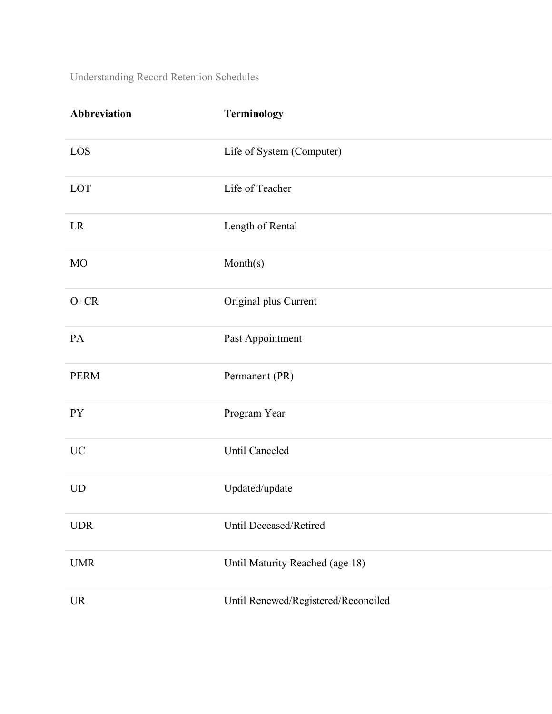| Abbreviation | Terminology                         |
|--------------|-------------------------------------|
| LOS          | Life of System (Computer)           |
| LOT          | Life of Teacher                     |
| LR           | Length of Rental                    |
| MO           | Month(s)                            |
| $O+CR$       | Original plus Current               |
| PA           | Past Appointment                    |
| <b>PERM</b>  | Permanent (PR)                      |
| <b>PY</b>    | Program Year                        |
| <b>UC</b>    | Until Canceled                      |
| <b>UD</b>    | Updated/update                      |
| <b>UDR</b>   | Until Deceased/Retired              |
| <b>UMR</b>   | Until Maturity Reached (age 18)     |
| <b>UR</b>    | Until Renewed/Registered/Reconciled |